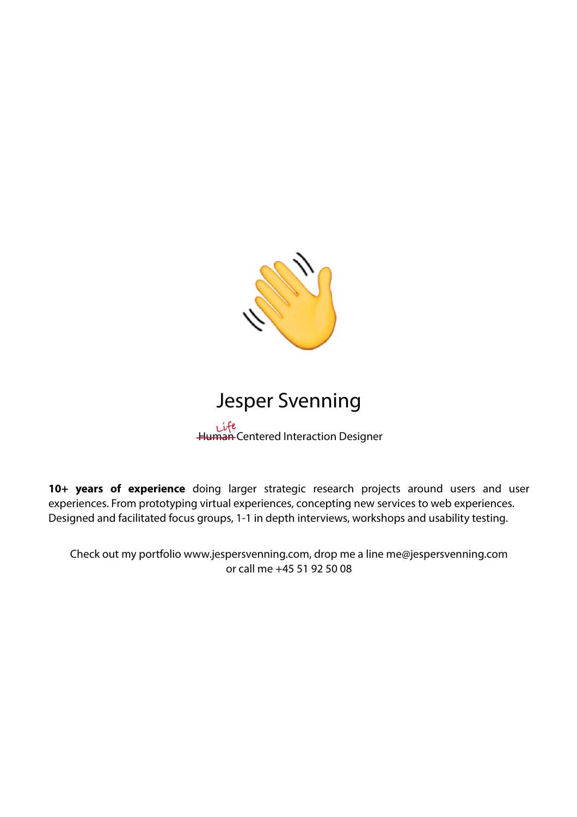

# Jesper Svenning

Human Centered Interaction Designer **Life**

**10+ years of experience** doing larger strategic research projects around users and user experiences. From prototyping virtual experiences, concepting new services to web experiences. Designed and facilitated focus groups, 1-1 in depth interviews, workshops and usability testing.

Check out my portfolio www.jespersvenning.com, drop me a line me@jespersvenning.com or call me +45 51 92 50 08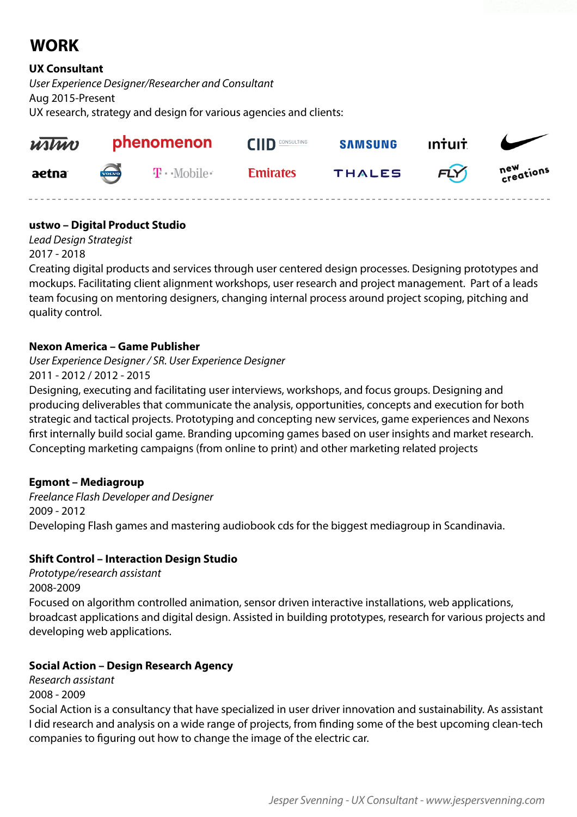# **WORK**

# **UX Consultant**

*User Experience Designer/Researcher and Consultant* Aug 2015-Present UX research, strategy and design for various agencies and clients:



# **ustwo – Digital Product Studio**

*Lead Design Strategist* 2017 - 2018

Creating digital products and services through user centered design processes. Designing prototypes and mockups. Facilitating client alignment workshops, user research and project management. Part of a leads team focusing on mentoring designers, changing internal process around project scoping, pitching and quality control.

# **Nexon America – Game Publisher**

*User Experience Designer / SR. User Experience Designer*

2011 - 2012 / 2012 - 2015

Designing, executing and facilitating user interviews, workshops, and focus groups. Designing and producing deliverables that communicate the analysis, opportunities, concepts and execution for both strategic and tactical projects. Prototyping and concepting new services, game experiences and Nexons first internally build social game. Branding upcoming games based on user insights and market research. Concepting marketing campaigns (from online to print) and other marketing related projects

# **Egmont – Mediagroup**

*Freelance Flash Developer and Designer* 2009 - 2012 Developing Flash games and mastering audiobook cds for the biggest mediagroup in Scandinavia.

# **Shift Control – Interaction Design Studio**

*Prototype/research assistant* 2008-2009 Focused on algorithm controlled animation, sensor driven interactive installations, web applications, broadcast applications and digital design. Assisted in building prototypes, research for various projects and developing web applications.

# **Social Action – Design Research Agency**

*Research assistant* 2008 - 2009

Social Action is a consultancy that have specialized in user driver innovation and sustainability. As assistant I did research and analysis on a wide range of projects, from finding some of the best upcoming clean-tech companies to figuring out how to change the image of the electric car.